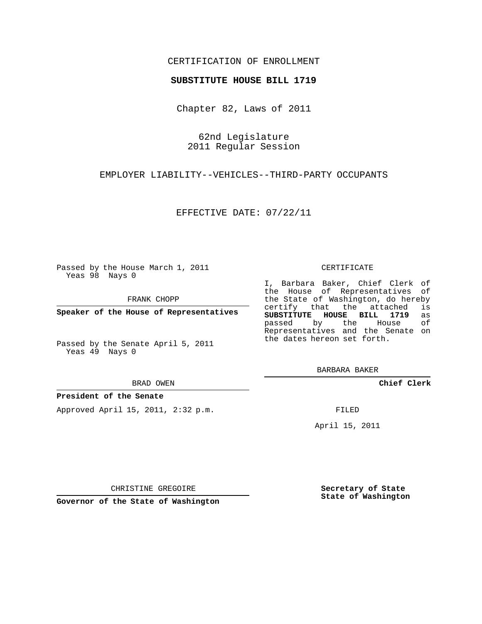# CERTIFICATION OF ENROLLMENT

### **SUBSTITUTE HOUSE BILL 1719**

Chapter 82, Laws of 2011

62nd Legislature 2011 Regular Session

EMPLOYER LIABILITY--VEHICLES--THIRD-PARTY OCCUPANTS

EFFECTIVE DATE: 07/22/11

Passed by the House March 1, 2011 Yeas 98 Nays 0

FRANK CHOPP

**Speaker of the House of Representatives**

Passed by the Senate April 5, 2011 Yeas 49 Nays 0

#### BRAD OWEN

### **President of the Senate**

Approved April 15, 2011, 2:32 p.m.

#### CERTIFICATE

I, Barbara Baker, Chief Clerk of the House of Representatives of the State of Washington, do hereby<br>certify that the attached is certify that the attached is<br>SUBSTITUTE HOUSE BILL 1719 as **SUBSTITUTE HOUSE BILL 1719** as passed by the House Representatives and the Senate on the dates hereon set forth.

BARBARA BAKER

**Chief Clerk**

FILED

April 15, 2011

**Secretary of State State of Washington**

CHRISTINE GREGOIRE

**Governor of the State of Washington**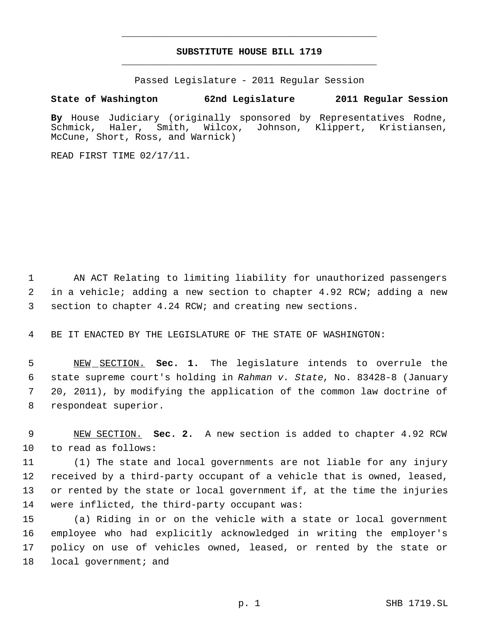# **SUBSTITUTE HOUSE BILL 1719** \_\_\_\_\_\_\_\_\_\_\_\_\_\_\_\_\_\_\_\_\_\_\_\_\_\_\_\_\_\_\_\_\_\_\_\_\_\_\_\_\_\_\_\_\_

\_\_\_\_\_\_\_\_\_\_\_\_\_\_\_\_\_\_\_\_\_\_\_\_\_\_\_\_\_\_\_\_\_\_\_\_\_\_\_\_\_\_\_\_\_

Passed Legislature - 2011 Regular Session

# **State of Washington 62nd Legislature 2011 Regular Session**

By House Judiciary (originally sponsored by Representatives Rodne,<br>Schmick, Haler, Smith, Wilcox, Johnson, Klippert, Kristiansen, Schmick, Haler, Smith, Wilcox, Johnson, Klippert, Kristiansen, McCune, Short, Ross, and Warnick)

READ FIRST TIME 02/17/11.

 AN ACT Relating to limiting liability for unauthorized passengers in a vehicle; adding a new section to chapter 4.92 RCW; adding a new section to chapter 4.24 RCW; and creating new sections.

BE IT ENACTED BY THE LEGISLATURE OF THE STATE OF WASHINGTON:

 NEW SECTION. **Sec. 1.** The legislature intends to overrule the state supreme court's holding in *Rahman v. State*, No. 83428-8 (January 20, 2011), by modifying the application of the common law doctrine of respondeat superior.

 NEW SECTION. **Sec. 2.** A new section is added to chapter 4.92 RCW to read as follows:

 (1) The state and local governments are not liable for any injury received by a third-party occupant of a vehicle that is owned, leased, or rented by the state or local government if, at the time the injuries were inflicted, the third-party occupant was:

 (a) Riding in or on the vehicle with a state or local government employee who had explicitly acknowledged in writing the employer's policy on use of vehicles owned, leased, or rented by the state or 18 local government; and